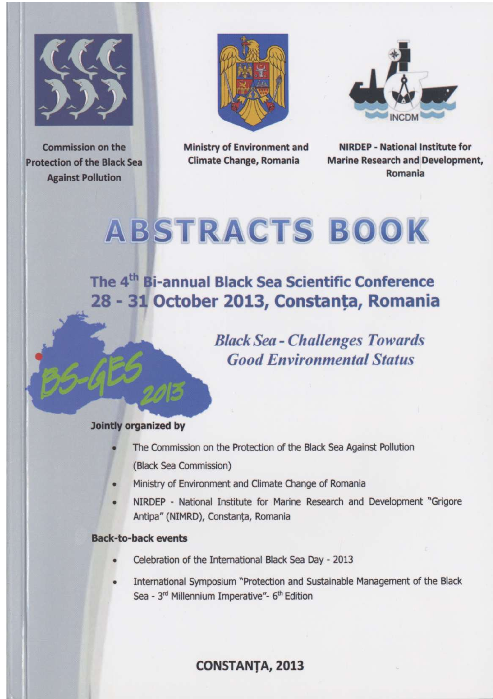

**Commission on the Protection of the Black Sea Against Pollution** 



**Ministry of Environment and Climate Change, Romania** 



**NIRDEP - National Institute for Marine Research and Development.** Romania

# **ABSTRACTS BOOK**

The 4<sup>th</sup> Bi-annual Black Sea Scientific Conference 28 - 31 October 2013, Constanta, Romania

> **Black Sea - Challenges Towards Good Environmental Status**

#### **Jointly organized by**

- The Commission on the Protection of the Black Sea Against Pollution (Black Sea Commission)
- Ministry of Environment and Climate Change of Romania
- NIRDEP National Institute for Marine Research and Development "Grigore" Antipa" (NIMRD), Constanta, Romania

#### **Back-to-back events**

- Celebration of the International Black Sea Day 2013
- International Symposium "Protection and Sustainable Management of the Black Sea - 3<sup>rd</sup> Millennium Imperative"- 6<sup>th</sup> Edition

#### **CONSTANTA, 2013**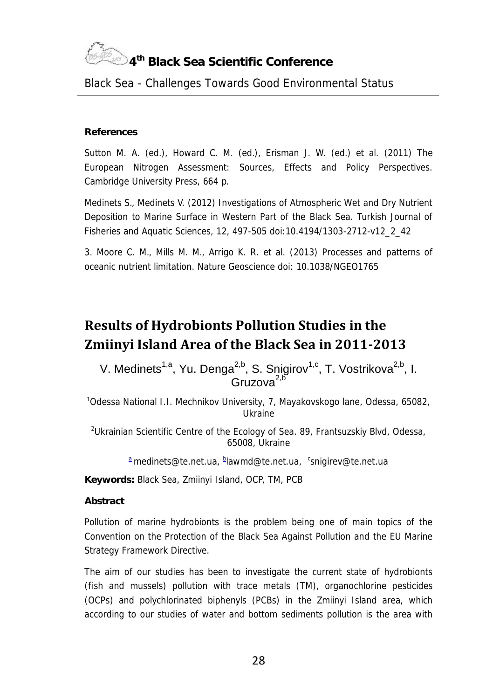

#### *Black Sea - Challenges Towards Good Environmental Status*

#### **References**

Sutton M. A. (ed.), Howard C. M. (ed.), Erisman J. W. (ed.) et al. (2011) The European Nitrogen Assessment: Sources, Effects and Policy Perspectives. Cambridge University Press, 664 p.

Medinets S., Medinets V. (2012) Investigations of Atmospheric Wet and Dry Nutrient Deposition to Marine Surface in Western Part of the Black Sea. Turkish Journal of Fisheries and Aquatic Sciences, 12, 497-505 doi:10.4194/1303-2712-v12\_2\_42

3. Moore C. M., Mills M. M., Arrigo K. R. et al. (2013) Processes and patterns of oceanic nutrient limitation. Nature Geoscience doi: 10.1038/NGEO1765

### **Results of Hydrobionts Pollution Studies in the Zmiinyi Island Area of the Black Sea in 2011-2013**

V. Medinets<sup>1,a</sup>, Yu. Denga<sup>2,b</sup>, S. Snigirov<sup>1,c</sup>, T. Vostrikova<sup>2,b</sup>, I. Gruzova<sup>2,</sup>

<sup>1</sup>Odessa National I.I. Mechnikov University, 7, Mayakovskogo lane, Odessa, 65082, Ukraine

<sup>2</sup>Ukrainian Scientific Centre of the Ecology of Sea. 89, Frantsuzskiy Blvd, Odessa, 65008, Ukraine

*<sup>a</sup> medinets@te.net.ua, <sup>b</sup> lawmd@te.net.ua, <sup>c</sup>snigirev@te.net.ua*

**Keywords:** Black Sea, Zmiinyi Island, OCP, TM, PCB

**Abstract**

Pollution of marine hydrobionts is the problem being one of main topics of the Convention on the Protection of the Black Sea Against Pollution and the EU Marine Strategy Framework Directive.

The aim of our studies has been to investigate the current state of hydrobionts (fish and mussels) pollution with trace metals (TM), organochlorine pesticides (OCPs) and polychlorinated biphenyls (PCBs) in the Zmiinyi Island area, which according to our studies of water and bottom sediments pollution is the area with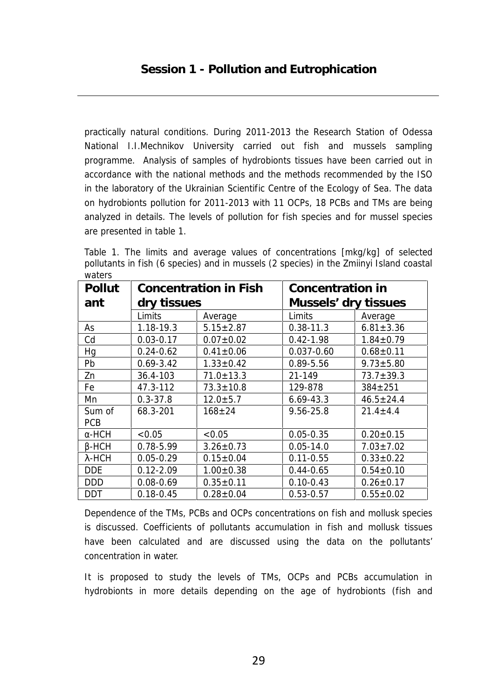practically natural conditions. During 2011-2013 the Research Station of Odessa National I.I.Mechnikov University carried out fish and mussels sampling programme. Analysis of samples of hydrobionts tissues have been carried out in accordance with the national methods and the methods recommended by the ISO in the laboratory of the Ukrainian Scientific Centre of the Ecology of Sea. The data on hydrobionts pollution for 2011-2013 with 11 OCPs, 18 PCBs and TMs are being analyzed in details. The levels of pollution for fish species and for mussel species are presented in table 1.

Table 1. The limits and average values of concentrations [mkg/kg] of selected pollutants in fish (6 species) and in mussels (2 species) in the Zmiinyi Island coastal waters

| Pollut        | Concentration in Fish<br>dry tissues |                 | Concentration in<br>Mussels' dry tissues |                 |
|---------------|--------------------------------------|-----------------|------------------------------------------|-----------------|
| ant           |                                      |                 |                                          |                 |
|               | Limits                               | Average         | Limits                                   | Average         |
| As            | 1.18-19.3                            | $5.15 \pm 2.87$ | $0.38 - 11.3$                            | $6.81 \pm 3.36$ |
| Cd            | $0.03 - 0.17$                        | $0.07 \pm 0.02$ | $0.42 - 1.98$                            | $1.84 \pm 0.79$ |
| Hq            | $0.24 - 0.62$                        | $0.41 \pm 0.06$ | $0.037 - 0.60$                           | $0.68 + 0.11$   |
| Pb            | $0.69 - 3.42$                        | $1.33 \pm 0.42$ | 0.89-5.56                                | $9.73 \pm 5.80$ |
| Zn            | 36.4-103                             | $71.0 \pm 13.3$ | 21-149                                   | $73.7 \pm 39.3$ |
| Fe            | 47.3-112                             | $73.3 \pm 10.8$ | 129-878                                  | $384 \pm 251$   |
| Mn            | $0.3 - 37.8$                         | $12.0 + 5.7$    | $6.69 - 43.3$                            | $46.5 + 24.4$   |
| Sum of<br>PCB | 68.3-201                             | $168 + 24$      | 9.56-25.8                                | $21.4 \pm 4.4$  |
| -HCH          | < 0.05                               | <0.05           | $0.05 - 0.35$                            | $0.20 \pm 0.15$ |
| -HCH          | 0.78-5.99                            | $3.26 \pm 0.73$ | $0.05 - 14.0$                            | $7.03 + 7.02$   |
| λ-НСН         | $0.05 - 0.29$                        | $0.15 \pm 0.04$ | $0.11 - 0.55$                            | $0.33 \pm 0.22$ |
| <b>DDE</b>    | $0.12 - 2.09$                        | $1.00 \pm 0.38$ | $0.44 - 0.65$                            | $0.54 \pm 0.10$ |
| DDD           | $0.08 - 0.69$                        | $0.35 \pm 0.11$ | $0.10 - 0.43$                            | $0.26 \pm 0.17$ |
| DDT           | $0.18 - 0.45$                        | $0.28 \pm 0.04$ | $0.53 - 0.57$                            | $0.55 \pm 0.02$ |

Dependence of the TMs, PCBs and OCPs concentrations on fish and mollusk species is discussed. Coefficients of pollutants accumulation in fish and mollusk tissues have been calculated and are discussed using the data on the pollutants' concentration in water.

It is proposed to study the levels of TMs, OCPs and PCBs accumulation in hydrobionts in more details depending on the age of hydrobionts (fish and